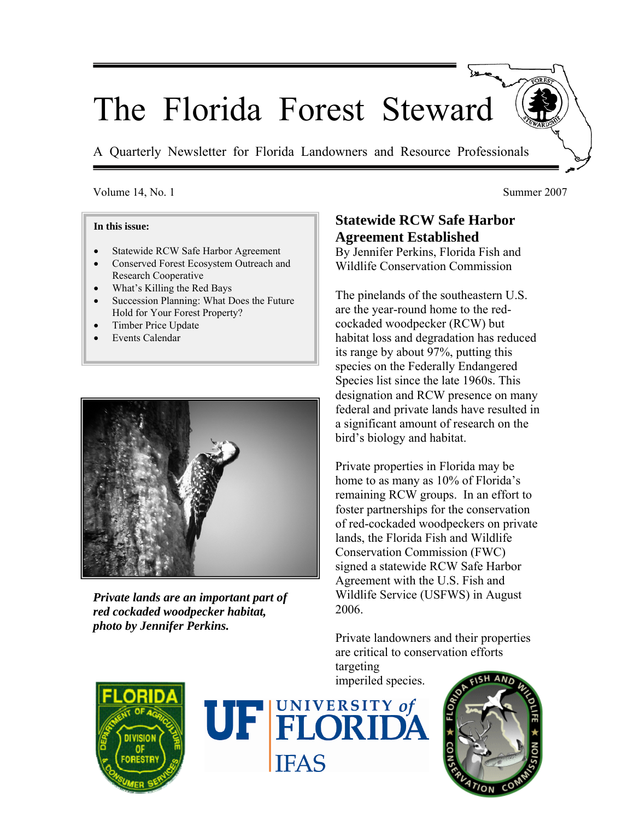# The Florida Forest Steward

A Quarterly Newsletter for Florida Landowners and Resource Professionals

#### Volume 14, No. 1 Summer 2007

#### **In this issue:**

- Statewide RCW Safe Harbor Agreement
- Conserved Forest Ecosystem Outreach and Research Cooperative
- What's Killing the Red Bays
- Succession Planning: What Does the Future Hold for Your Forest Property?
- Timber Price Update
- Events Calendar



*Private lands are an important part of red cockaded woodpecker habitat, photo by Jennifer Perkins.*

# **Statewide RCW Safe Harbor Agreement Established**

By Jennifer Perkins, Florida Fish and Wildlife Conservation Commission

The pinelands of the southeastern U.S. are the year-round home to the redcockaded woodpecker (RCW) but habitat loss and degradation has reduced its range by about 97%, putting this species on the Federally Endangered Species list since the late 1960s. This designation and RCW presence on many federal and private lands have resulted in a significant amount of research on the bird's biology and habitat.

Private properties in Florida may be home to as many as 10% of Florida's remaining RCW groups. In an effort to foster partnerships for the conservation of red-cockaded woodpeckers on private lands, the Florida Fish and Wildlife Conservation Commission (FWC) signed a statewide RCW Safe Harbor Agreement with the U.S. Fish and Wildlife Service (USFWS) in August 2006.

Private landowners and their properties are critical to conservation efforts

targeting imperiled species.





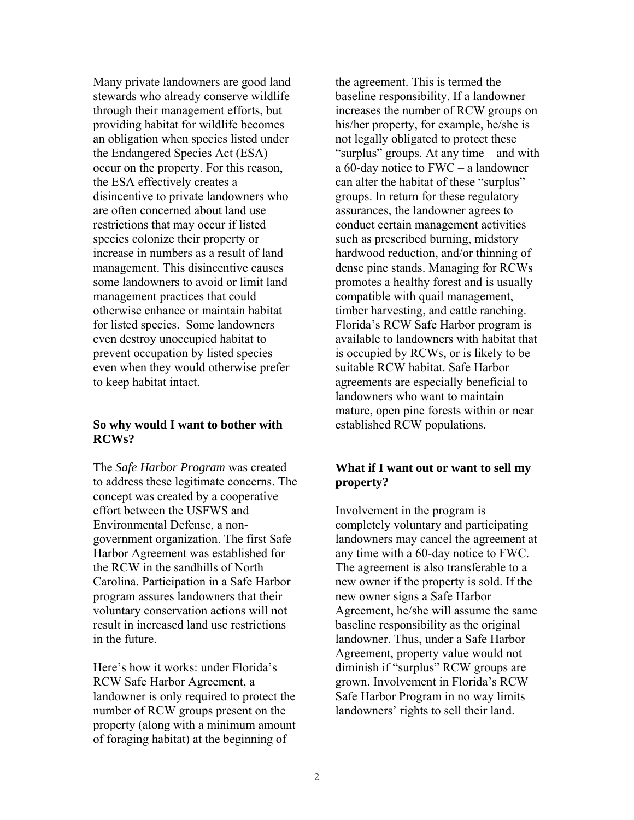Many private landowners are good land stewards who already conserve wildlife through their management efforts, but providing habitat for wildlife becomes an obligation when species listed under the Endangered Species Act (ESA) occur on the property. For this reason, the ESA effectively creates a disincentive to private landowners who are often concerned about land use restrictions that may occur if listed species colonize their property or increase in numbers as a result of land management. This disincentive causes some landowners to avoid or limit land management practices that could otherwise enhance or maintain habitat for listed species. Some landowners even destroy unoccupied habitat to prevent occupation by listed species – even when they would otherwise prefer to keep habitat intact.

#### **So why would I want to bother with RCWs?**

The *Safe Harbor Program* was created to address these legitimate concerns. The concept was created by a cooperative effort between the USFWS and Environmental Defense, a nongovernment organization. The first Safe Harbor Agreement was established for the RCW in the sandhills of North Carolina. Participation in a Safe Harbor program assures landowners that their voluntary conservation actions will not result in increased land use restrictions in the future.

Here's how it works: under Florida's RCW Safe Harbor Agreement, a landowner is only required to protect the number of RCW groups present on the property (along with a minimum amount of foraging habitat) at the beginning of

the agreement. This is termed the baseline responsibility. If a landowner increases the number of RCW groups on his/her property, for example, he/she is not legally obligated to protect these "surplus" groups. At any time – and with a 60-day notice to FWC – a landowner can alter the habitat of these "surplus" groups. In return for these regulatory assurances, the landowner agrees to conduct certain management activities such as prescribed burning, midstory hardwood reduction, and/or thinning of dense pine stands. Managing for RCWs promotes a healthy forest and is usually compatible with quail management, timber harvesting, and cattle ranching. Florida's RCW Safe Harbor program is available to landowners with habitat that is occupied by RCWs, or is likely to be suitable RCW habitat. Safe Harbor agreements are especially beneficial to landowners who want to maintain mature, open pine forests within or near established RCW populations.

#### **What if I want out or want to sell my property?**

Involvement in the program is completely voluntary and participating landowners may cancel the agreement at any time with a 60-day notice to FWC. The agreement is also transferable to a new owner if the property is sold. If the new owner signs a Safe Harbor Agreement, he/she will assume the same baseline responsibility as the original landowner. Thus, under a Safe Harbor Agreement, property value would not diminish if "surplus" RCW groups are grown. Involvement in Florida's RCW Safe Harbor Program in no way limits landowners' rights to sell their land.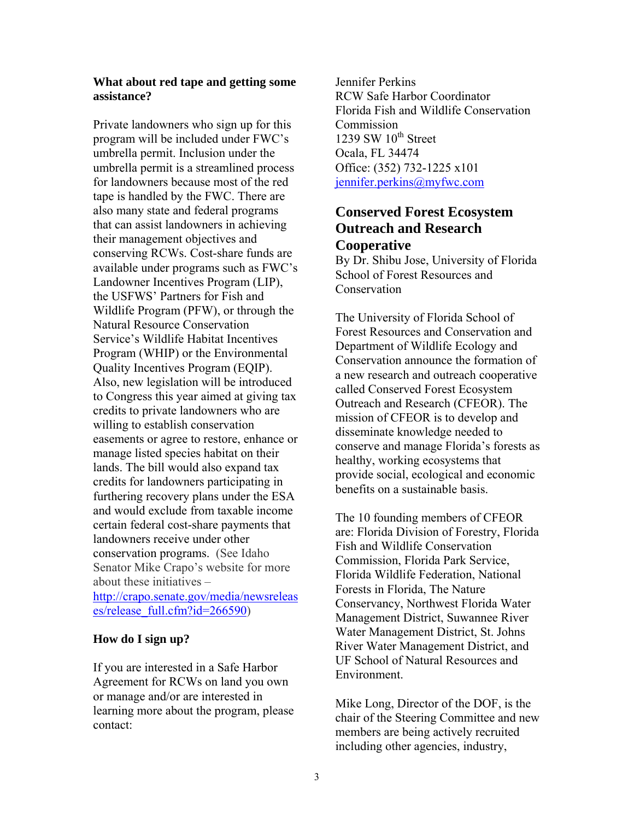#### **What about red tape and getting some assistance?**

Private landowners who sign up for this program will be included under FWC's umbrella permit. Inclusion under the umbrella permit is a streamlined process for landowners because most of the red tape is handled by the FWC. There are also many state and federal programs that can assist landowners in achieving their management objectives and conserving RCWs. Cost-share funds are available under programs such as FWC's Landowner Incentives Program (LIP), the USFWS' Partners for Fish and Wildlife Program (PFW), or through the Natural Resource Conservation Service's Wildlife Habitat Incentives Program (WHIP) or the Environmental Quality Incentives Program (EQIP). Also, new legislation will be introduced to Congress this year aimed at giving tax credits to private landowners who are willing to establish conservation easements or agree to restore, enhance or manage listed species habitat on their lands. The bill would also expand tax credits for landowners participating in furthering recovery plans under the ESA and would exclude from taxable income certain federal cost-share payments that landowners receive under other conservation programs. (See Idaho Senator Mike Crapo's website for more about these initiatives – [http://crapo.senate.gov/media/newsreleas](http://crapo.senate.gov/media/newsreleases/release_full.cfm?id=266590) [es/release\\_full.cfm?id=266590](http://crapo.senate.gov/media/newsreleases/release_full.cfm?id=266590))

#### **How do I sign up?**

If you are interested in a Safe Harbor Agreement for RCWs on land you own or manage and/or are interested in learning more about the program, please contact:

Jennifer Perkins RCW Safe Harbor Coordinator Florida Fish and Wildlife Conservation **Commission** 1239 SW  $10^{th}$  Street Ocala, FL 34474 Office: (352) 732-1225 x101 [jennifer.perkins@myfwc.com](mailto:jennifer.perkins@myfwc.com)

## **Conserved Forest Ecosystem Outreach and Research Cooperative**

By Dr. Shibu Jose, University of Florida School of Forest Resources and Conservation

The University of Florida School of Forest Resources and Conservation and Department of Wildlife Ecology and Conservation announce the formation of a new research and outreach cooperative called Conserved Forest Ecosystem Outreach and Research (CFEOR). The mission of CFEOR is to develop and disseminate knowledge needed to conserve and manage Florida's forests as healthy, working ecosystems that provide social, ecological and economic benefits on a sustainable basis.

The 10 founding members of CFEOR are: Florida Division of Forestry, Florida Fish and Wildlife Conservation Commission, Florida Park Service, Florida Wildlife Federation, National Forests in Florida, The Nature Conservancy, Northwest Florida Water Management District, Suwannee River Water Management District, St. Johns River Water Management District, and UF School of Natural Resources and Environment.

Mike Long, Director of the DOF, is the chair of the Steering Committee and new members are being actively recruited including other agencies, industry,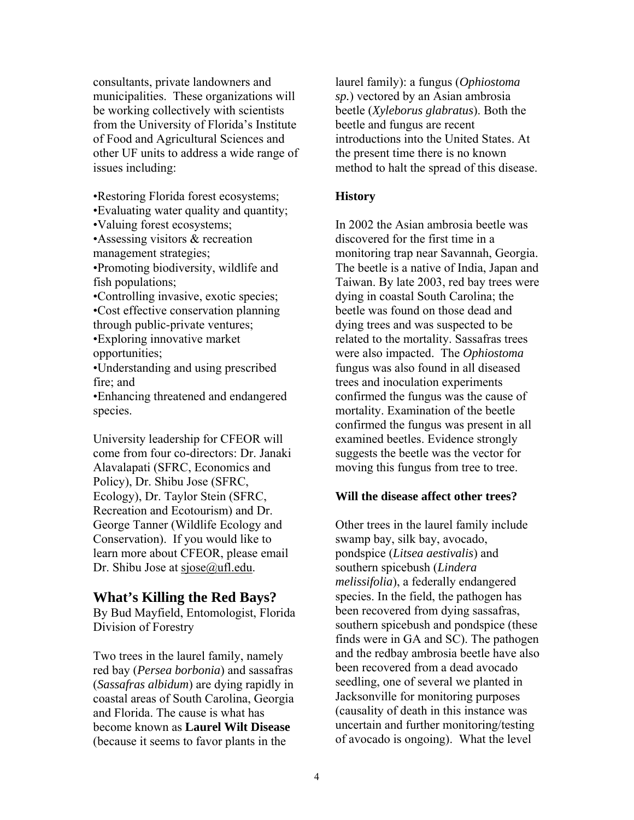consultants, private landowners and municipalities. These organizations will be working collectively with scientists from the University of Florida's Institute of Food and Agricultural Sciences and other UF units to address a wide range of issues including:

•Restoring Florida forest ecosystems;

•Evaluating water quality and quantity;

•Valuing forest ecosystems;

•Assessing visitors & recreation management strategies;

•Promoting biodiversity, wildlife and fish populations;

•Controlling invasive, exotic species; •Cost effective conservation planning through public-private ventures; •Exploring innovative market

opportunities;

•Understanding and using prescribed fire; and

•Enhancing threatened and endangered species.

University leadership for CFEOR will come from four co-directors: Dr. Janaki Alavalapati (SFRC, Economics and Policy), Dr. Shibu Jose (SFRC, Ecology), Dr. Taylor Stein (SFRC, Recreation and Ecotourism) and Dr. George Tanner (Wildlife Ecology and Conservation). If you would like to learn more about CFEOR, please email Dr. Shibu Jose at sjose@ufl.edu.

#### **What's Killing the Red Bays?**

By Bud Mayfield, Entomologist, Florida Division of Forestry

Two trees in the laurel family, namely red bay (*Persea borbonia*) and sassafras (*Sassafras albidum*) are dying rapidly in coastal areas of South Carolina, Georgia and Florida. The cause is what has become known as **Laurel Wilt Disease**  (because it seems to favor plants in the

laurel family): a fungus (*Ophiostoma sp.*) vectored by an Asian ambrosia beetle (*Xyleborus glabratus*). Both the beetle and fungus are recent introductions into the United States. At the present time there is no known method to halt the spread of this disease.

#### **History**

In 2002 the Asian ambrosia beetle was discovered for the first time in a monitoring trap near Savannah, Georgia. The beetle is a native of India, Japan and Taiwan. By late 2003, red bay trees were dying in coastal South Carolina; the beetle was found on those dead and dying trees and was suspected to be related to the mortality. Sassafras trees were also impacted. The *Ophiostoma* fungus was also found in all diseased trees and inoculation experiments confirmed the fungus was the cause of mortality. Examination of the beetle confirmed the fungus was present in all examined beetles. Evidence strongly suggests the beetle was the vector for moving this fungus from tree to tree.

#### **Will the disease affect other trees?**

Other trees in the laurel family include swamp bay, silk bay, avocado, pondspice (*Litsea aestivalis*) and southern spicebush (*Lindera melissifolia*), a federally endangered species. In the field, the pathogen has been recovered from dying sassafras, southern spicebush and pondspice (these finds were in GA and SC). The pathogen and the redbay ambrosia beetle have also been recovered from a dead avocado seedling, one of several we planted in Jacksonville for monitoring purposes (causality of death in this instance was uncertain and further monitoring/testing of avocado is ongoing). What the level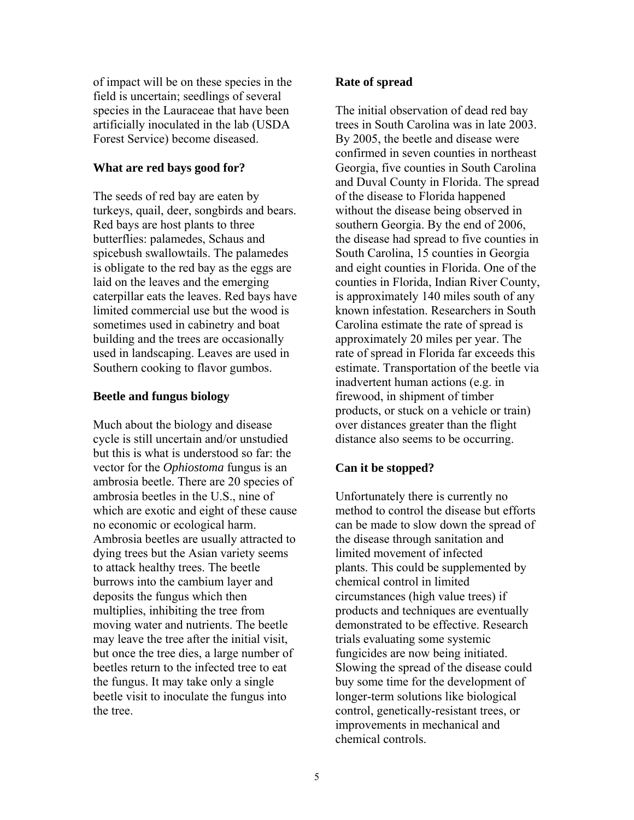of impact will be on these species in the field is uncertain; seedlings of several species in the Lauraceae that have been artificially inoculated in the lab (USDA Forest Service) become diseased.

#### **What are red bays good for?**

The seeds of red bay are eaten by turkeys, quail, deer, songbirds and bears. Red bays are host plants to three butterflies: palamedes, Schaus and spicebush swallowtails. The palamedes is obligate to the red bay as the eggs are laid on the leaves and the emerging caterpillar eats the leaves. Red bays have limited commercial use but the wood is sometimes used in cabinetry and boat building and the trees are occasionally used in landscaping. Leaves are used in Southern cooking to flavor gumbos.

#### **Beetle and fungus biology**

Much about the biology and disease cycle is still uncertain and/or unstudied but this is what is understood so far: the vector for the *Ophiostoma* fungus is an ambrosia beetle. There are 20 species of ambrosia beetles in the U.S., nine of which are exotic and eight of these cause no economic or ecological harm. Ambrosia beetles are usually attracted to dying trees but the Asian variety seems to attack healthy trees. The beetle burrows into the cambium layer and deposits the fungus which then multiplies, inhibiting the tree from moving water and nutrients. The beetle may leave the tree after the initial visit, but once the tree dies, a large number of beetles return to the infected tree to eat the fungus. It may take only a single beetle visit to inoculate the fungus into the tree.

#### **Rate of spread**

The initial observation of dead red bay trees in South Carolina was in late 2003. By 2005, the beetle and disease were confirmed in seven counties in northeast Georgia, five counties in South Carolina and Duval County in Florida. The spread of the disease to Florida happened without the disease being observed in southern Georgia. By the end of 2006, the disease had spread to five counties in South Carolina, 15 counties in Georgia and eight counties in Florida. One of the counties in Florida, Indian River County, is approximately 140 miles south of any known infestation. Researchers in South Carolina estimate the rate of spread is approximately 20 miles per year. The rate of spread in Florida far exceeds this estimate. Transportation of the beetle via inadvertent human actions (e.g. in firewood, in shipment of timber products, or stuck on a vehicle or train) over distances greater than the flight distance also seems to be occurring.

#### **Can it be stopped?**

Unfortunately there is currently no method to control the disease but efforts can be made to slow down the spread of the disease through sanitation and limited movement of infected plants. This could be supplemented by chemical control in limited circumstances (high value trees) if products and techniques are eventually demonstrated to be effective. Research trials evaluating some systemic fungicides are now being initiated. Slowing the spread of the disease could buy some time for the development of longer-term solutions like biological control, genetically-resistant trees, or improvements in mechanical and chemical controls.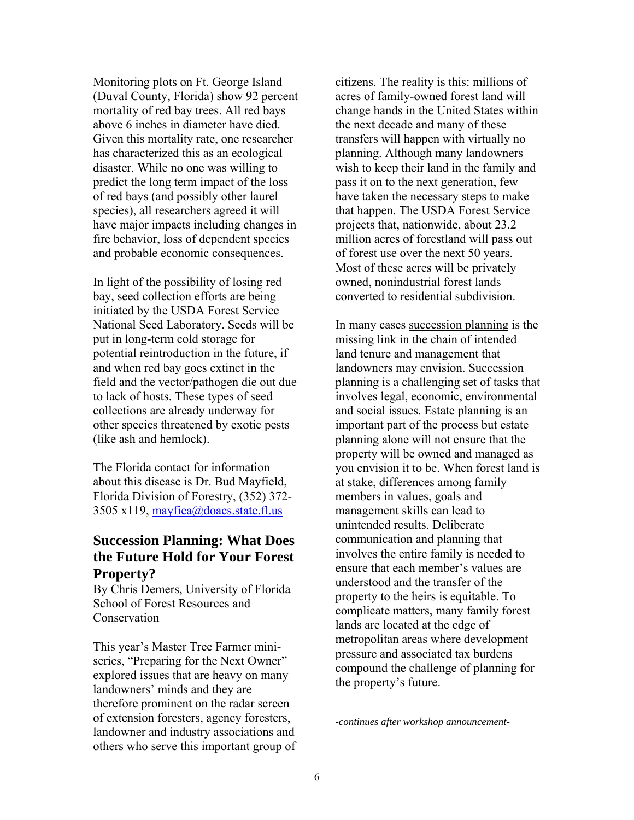Monitoring plots on Ft. George Island (Duval County, Florida) show 92 percent mortality of red bay trees. All red bays above 6 inches in diameter have died. Given this mortality rate, one researcher has characterized this as an ecological disaster. While no one was willing to predict the long term impact of the loss of red bays (and possibly other laurel species), all researchers agreed it will have major impacts including changes in fire behavior, loss of dependent species and probable economic consequences.

In light of the possibility of losing red bay, seed collection efforts are being initiated by the USDA Forest Service National Seed Laboratory. Seeds will be put in long-term cold storage for potential reintroduction in the future, if and when red bay goes extinct in the field and the vector/pathogen die out due to lack of hosts. These types of seed collections are already underway for other species threatened by exotic pests (like ash and hemlock).

The Florida contact for information about this disease is Dr. Bud Mayfield, Florida Division of Forestry, (352) 372- 3505 x119, [mayfiea@doacs.state.fl.us](mailto:mayfiea@doacs.state.fl.us)

## **Succession Planning: What Does the Future Hold for Your Forest Property?**

By Chris Demers, University of Florida School of Forest Resources and Conservation

This year's Master Tree Farmer miniseries, "Preparing for the Next Owner" explored issues that are heavy on many landowners' minds and they are therefore prominent on the radar screen of extension foresters, agency foresters, landowner and industry associations and others who serve this important group of citizens. The reality is this: millions of acres of family-owned forest land will change hands in the United States within the next decade and many of these transfers will happen with virtually no planning. Although many landowners wish to keep their land in the family and pass it on to the next generation, few have taken the necessary steps to make that happen. The USDA Forest Service projects that, nationwide, about 23.2 million acres of forestland will pass out of forest use over the next 50 years. Most of these acres will be privately owned, nonindustrial forest lands converted to residential subdivision.

In many cases succession planning is the missing link in the chain of intended land tenure and management that landowners may envision. Succession planning is a challenging set of tasks that involves legal, economic, environmental and social issues. Estate planning is an important part of the process but estate planning alone will not ensure that the property will be owned and managed as you envision it to be. When forest land is at stake, differences among family members in values, goals and management skills can lead to unintended results. Deliberate communication and planning that involves the entire family is needed to ensure that each member's values are understood and the transfer of the property to the heirs is equitable. To complicate matters, many family forest lands are located at the edge of metropolitan areas where development pressure and associated tax burdens compound the challenge of planning for the property's future.

*-continues after workshop announcement-*